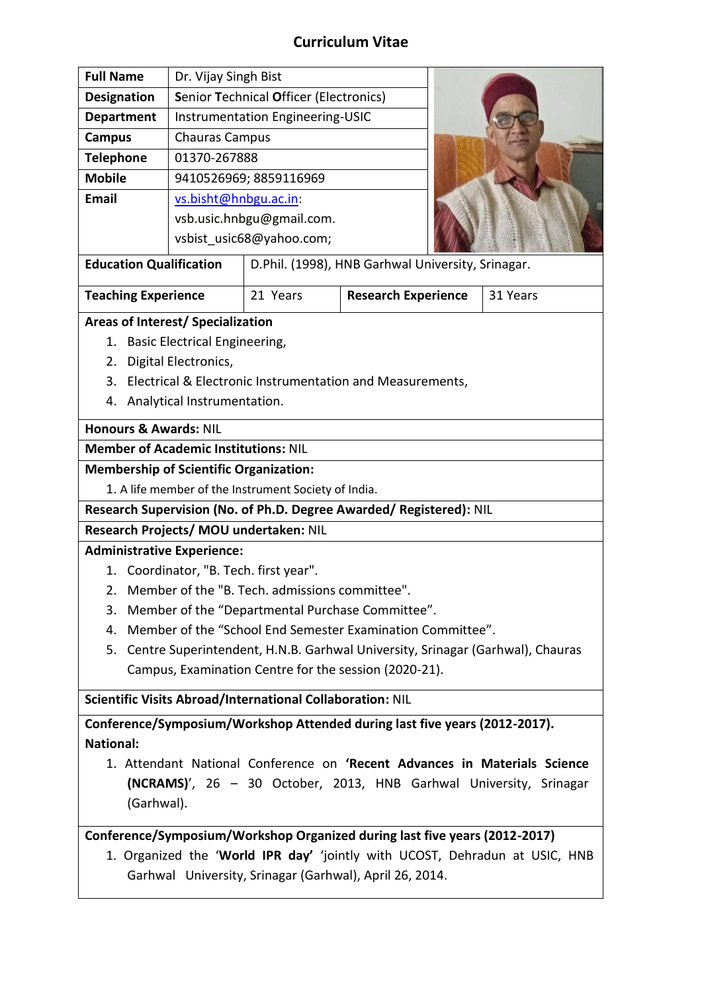## **Curriculum Vitae**

| <b>Full Name</b>   | Dr. Vijay Singh Bist                                                           |  |
|--------------------|--------------------------------------------------------------------------------|--|
| <b>Designation</b> | <b>Senior Technical Officer (Electronics)</b>                                  |  |
| <b>Department</b>  | Instrumentation Engineering-USIC                                               |  |
| Campus             | <b>Chauras Campus</b>                                                          |  |
| <b>Telephone</b>   | 01370-267888                                                                   |  |
| <b>Mobile</b>      | 9410526969; 8859116969                                                         |  |
| <b>Email</b>       | vs.bisht@hnbgu.ac.in:<br>vsb.usic.hnbgu@gmail.com.<br>vsbist usic68@yahoo.com; |  |

**Education Qualification** | D.Phil. (1998), HNB Garhwal University, Srinagar.

| <b>Teaching Experience</b> | 21 Years | <b>Research Experience</b> | 31 Years |
|----------------------------|----------|----------------------------|----------|
|                            |          |                            |          |

### **Areas of Interest/ Specialization**

- 1. Basic Electrical Engineering,
- 2. Digital Electronics,
- 3. Electrical & Electronic Instrumentation and Measurements,
- 4. Analytical Instrumentation.

### **Honours & Awards:** NIL

**Member of Academic Institutions:** NIL

## **Membership of Scientific Organization:**

1. A life member of the Instrument Society of India.

**Research Supervision (No. of Ph.D. Degree Awarded/ Registered):** NIL

## **Research Projects/ MOU undertaken:** NIL

## **Administrative Experience:**

- 1. Coordinator, "B. Tech. first year".
- 2. Member of the "B. Tech. admissions committee".
- 3. Member of the "Departmental Purchase Committee".
- 4. Member of the "School End Semester Examination Committee".
- 5. Centre Superintendent, H.N.B. Garhwal University, Srinagar (Garhwal), Chauras Campus, Examination Centre for the session (2020-21).

**Scientific Visits Abroad/International Collaboration:** NIL

**Conference/Symposium/Workshop Attended during last five years (2012-2017). National:**

1. Attendant National Conference on **'Recent Advances in Materials Science (NCRAMS)**', 26 – 30 October, 2013, HNB Garhwal University, Srinagar (Garhwal).

# **Conference/Symposium/Workshop Organized during last five years (2012-2017)**

1. Organized the '**World IPR day'** 'jointly with UCOST, Dehradun at USIC, HNB Garhwal University, Srinagar (Garhwal), April 26, 2014.